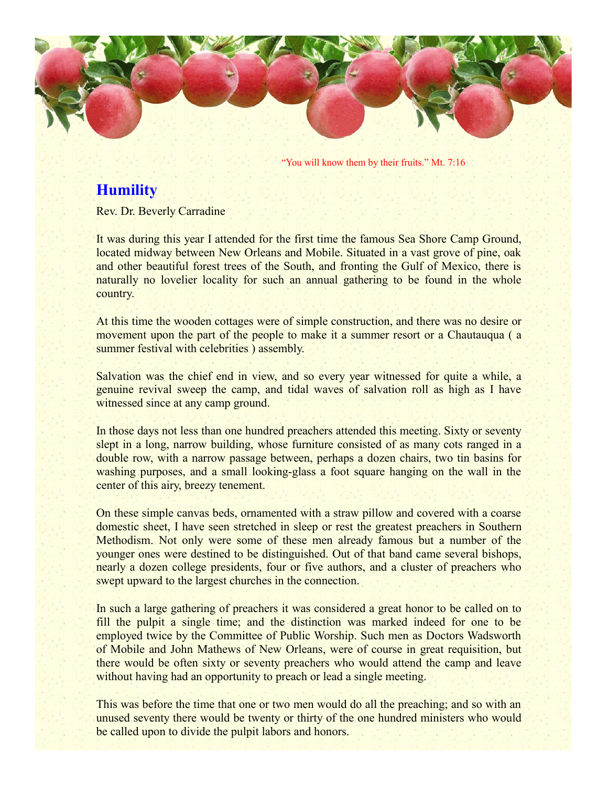

"You will know them by their fruits." Mt. 7:16

## **Humility**

Rev. Dr. Beverly Carradine

It was during this year I attended for the first time the famous Sea Shore Camp Ground, located midway between New Orleans and Mobile. Situated in a vast grove of pine, oak and other beautiful forest trees of the South, and fronting the Gulf of Mexico, there is naturally no lovelier locality for such an annual gathering to be found in the whole country.

At this time the wooden cottages were of simple construction, and there was no desire or movement upon the part of the people to make it a summer resort or a Chautauqua ( a summer festival with celebrities ) assembly.

Salvation was the chief end in view, and so every year witnessed for quite a while, a genuine revival sweep the camp, and tidal waves of salvation roll as high as I have witnessed since at any camp ground.

In those days not less than one hundred preachers attended this meeting. Sixty or seventy slept in a long, narrow building, whose furniture consisted of as many cots ranged in a double row, with a narrow passage between, perhaps a dozen chairs, two tin basins for washing purposes, and a small looking-glass a foot square hanging on the wall in the center of this airy, breezy tenement.

On these simple canvas beds, ornamented with a straw pillow and covered with a coarse domestic sheet, I have seen stretched in sleep or rest the greatest preachers in Southern Methodism. Not only were some of these men already famous but a number of the younger ones were destined to be distinguished. Out of that band came several bishops, nearly a dozen college presidents, four or five authors, and a cluster of preachers who swept upward to the largest churches in the connection.

In such a large gathering of preachers it was considered a great honor to be called on to fill the pulpit a single time; and the distinction was marked indeed for one to be employed twice by the Committee of Public Worship. Such men as Doctors Wadsworth of Mobile and John Mathews of New Orleans, were of course in great requisition, but there would be often sixty or seventy preachers who would attend the camp and leave without having had an opportunity to preach or lead a single meeting.

This was before the time that one or two men would do all the preaching; and so with an unused seventy there would be twenty or thirty of the one hundred ministers who would be called upon to divide the pulpit labors and honors.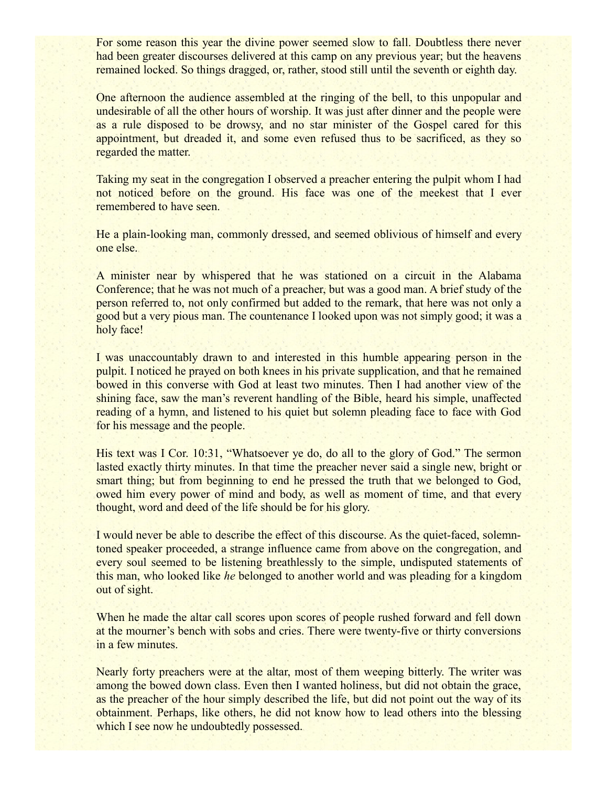For some reason this year the divine power seemed slow to fall. Doubtless there never had been greater discourses delivered at this camp on any previous year; but the heavens remained locked. So things dragged, or, rather, stood still until the seventh or eighth day.

One afternoon the audience assembled at the ringing of the bell, to this unpopular and undesirable of all the other hours of worship. It was just after dinner and the people were as a rule disposed to be drowsy, and no star minister of the Gospel cared for this appointment, but dreaded it, and some even refused thus to be sacrificed, as they so regarded the matter.

Taking my seat in the congregation I observed a preacher entering the pulpit whom I had not noticed before on the ground. His face was one of the meekest that I ever remembered to have seen.

He a plain-looking man, commonly dressed, and seemed oblivious of himself and every one else.

A minister near by whispered that he was stationed on a circuit in the Alabama Conference; that he was not much of a preacher, but was a good man. A brief study of the person referred to, not only confirmed but added to the remark, that here was not only a good but a very pious man. The countenance I looked upon was not simply good; it was a holy face!

I was unaccountably drawn to and interested in this humble appearing person in the pulpit. I noticed he prayed on both knees in his private supplication, and that he remained bowed in this converse with God at least two minutes. Then I had another view of the shining face, saw the man's reverent handling of the Bible, heard his simple, unaffected reading of a hymn, and listened to his quiet but solemn pleading face to face with God for his message and the people.

His text was I Cor. 10:31, "Whatsoever ye do, do all to the glory of God." The sermon lasted exactly thirty minutes. In that time the preacher never said a single new, bright or smart thing; but from beginning to end he pressed the truth that we belonged to God, owed him every power of mind and body, as well as moment of time, and that every thought, word and deed of the life should be for his glory.

I would never be able to describe the effect of this discourse. As the quiet-faced, solemntoned speaker proceeded, a strange influence came from above on the congregation, and every soul seemed to be listening breathlessly to the simple, undisputed statements of this man, who looked like *he* belonged to another world and was pleading for a kingdom out of sight.

When he made the altar call scores upon scores of people rushed forward and fell down at the mourner's bench with sobs and cries. There were twenty-five or thirty conversions in a few minutes.

Nearly forty preachers were at the altar, most of them weeping bitterly. The writer was among the bowed down class. Even then I wanted holiness, but did not obtain the grace, as the preacher of the hour simply described the life, but did not point out the way of its obtainment. Perhaps, like others, he did not know how to lead others into the blessing which I see now he undoubtedly possessed.